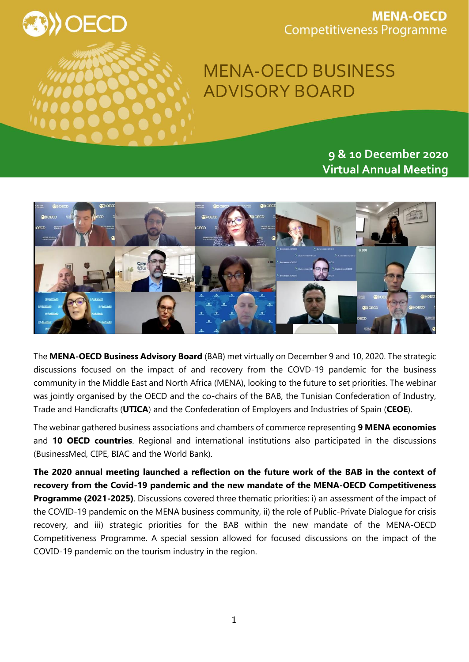

**MENA-OECD Competitiveness Programme** 

## MENA-OECD BUSINESS ADVISORY BOARD

**9 & 10 December 2020 Virtual Annual Meeting** 



The **MENA-OECD Business Advisory Board** (BAB) met virtually on December 9 and 10, 2020. The strategic discussions focused on the impact of and recovery from the COVD-19 pandemic for the business community in the Middle East and North Africa (MENA), looking to the future to set priorities. The webinar was jointly organised by the OECD and the co-chairs of the BAB, the Tunisian Confederation of Industry, Trade and Handicrafts (**UTICA**) and the Confederation of Employers and Industries of Spain (**CEOE**).

The webinar gathered business associations and chambers of commerce representing **9 MENA economies** and **10 OECD countries**. Regional and international institutions also participated in the discussions (BusinessMed, CIPE, BIAC and the World Bank).

**The 2020 annual meeting launched a reflection on the future work of the BAB in the context of recovery from the Covid-19 pandemic and the new mandate of the MENA-OECD Competitiveness Programme (2021-2025)**. Discussions covered three thematic priorities: i) an assessment of the impact of the COVID-19 pandemic on the MENA business community, ii) the role of Public-Private Dialogue for crisis recovery, and iii) strategic priorities for the BAB within the new mandate of the MENA-OECD Competitiveness Programme. A special session allowed for focused discussions on the impact of the COVID-19 pandemic on the tourism industry in the region.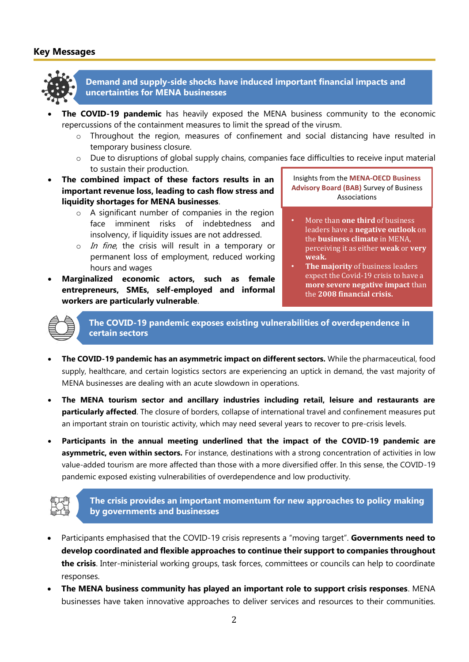## **Key Messages**



**Demand and supply-side shocks have induced important financial impacts and uncertainties for MENA businesses**

- **The COVID-19 pandemic** has heavily exposed the MENA business community to the economic repercussions of the containment measures to limit the spread of the virusm.
	- o Throughout the region, measures of confinement and social distancing have resulted in temporary business closure.
	- $\circ$  Due to disruptions of global supply chains, companies face difficulties to receive input material to sustain their production.
- **The combined impact of these factors results in an important revenue loss, leading to cash flow stress and liquidity shortages for MENA businesses**.
	- o A significant number of companies in the region face imminent risks of indebtedness and insolvency, if liquidity issues are not addressed.
	- $\circ$  *In fine*, the crisis will result in a temporary or permanent loss of employment, reduced working hours and wages
- **Marginalized economic actors, such as female entrepreneurs, SMEs, self-employed and informal workers are particularly vulnerable**.

Insights from the **MENA-OECD Business Advisory Board (BAB)** Survey of Business Associations

- More than **one third** of business leaders have a **negative outlook** on the **business climate** in MENA, perceiving it as either **weak** or **very weak.**
- **The majority** of business leaders expect the Covid-19 crisis to have a **more severe negative impact** than the **2008 financial crisis.**

**The COVID-19 pandemic exposes existing vulnerabilities of overdependence in certain sectors**

- **The COVID-19 pandemic has an asymmetric impact on different sectors.** While the pharmaceutical, food supply, healthcare, and certain logistics sectors are experiencing an uptick in demand, the vast majority of MENA businesses are dealing with an acute slowdown in operations.
- **The MENA tourism sector and ancillary industries including retail, leisure and restaurants are particularly affected**. The closure of borders, collapse of international travel and confinement measures put an important strain on touristic activity, which may need several years to recover to pre-crisis levels.
- **Participants in the annual meeting underlined that the impact of the COVID-19 pandemic are asymmetric, even within sectors.** For instance, destinations with a strong concentration of activities in low value-added tourism are more affected than those with a more diversified offer. In this sense, the COVID-19 pandemic exposed existing vulnerabilities of overdependence and low productivity.



**The crisis provides an important momentum for new approaches to policy making by governments and businesses**

- Participants emphasised that the COVID-19 crisis represents a "moving target". **Governments need to develop coordinated and flexible approaches to continue their support to companies throughout the crisis**. Inter-ministerial working groups, task forces, committees or councils can help to coordinate responses.
- **The MENA business community has played an important role to support crisis responses**. MENA businesses have taken innovative approaches to deliver services and resources to their communities.